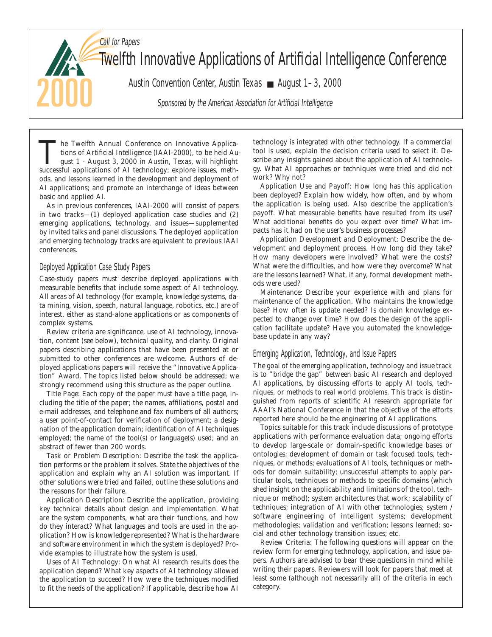Call for Papers Twelfth Innovative Applications of Artificial Intelligence Conference Austin Convention Center, Austin Texas ■ August 1–3, 2000 Sponsored by the American Association for Artificial Intelligence

The Twelfth Annual Conference on Innovative Applications of Artificial Intelligence (IAAI-2000), to be held August 1 - August 3, 2000 in Austin, Texas, will highlight successful applications of AI technology: explore issue tions of Artificial Intelligence (IAAI-2000), to be held Ausuccessful applications of AI technology; explore issues, methods, and lessons learned in the development and deployment of AI applications; and promote an interchange of ideas between basic and applied AI.

As in previous conferences, IAAI-2000 will consist of papers in two tracks—(1) deployed application case studies and (2) emerging applications, technology, and issues—supplemented by invited talks and panel discussions. The deployed application and emerging technology tracks are equivalent to previous IAAI conferences.

## Deployed Application Case Study Papers

Case-study papers must describe deployed applications with measurable benefits that include some aspect of AI technology. All areas of AI technology (for example, knowledge systems, data mining, vision, speech, natural language, robotics, etc.) are of interest, either as stand-alone applications or as components of complex systems.

Review criteria are significance, use of AI technology, innovation, content (see below), technical quality, and clarity. Original papers describing applications that have been presented at or submitted to other conferences are welcome. Authors of deployed applications papers will receive the "Innovative Application" Award. The topics listed below should be addressed; we strongly recommend using this structure as the paper outline.

*Title Page:* Each copy of the paper must have a title page, including the title of the paper; the names, affiliations, postal and e-mail addresses, and telephone and fax numbers of all authors; a user point-of-contact for verification of deployment; a designation of the application domain; identification of AI techniques employed; the name of the tool(s) or language(s) used; and an abstract of fewer than 200 words.

*Task or Problem Description:* Describe the task the application performs or the problem it solves. State the objectives of the application and explain why an AI solution was important. If other solutions were tried and failed, outline these solutions and the reasons for their failure.

*Application Description:* Describe the application, providing key technical details about design and implementation. What are the system components, what are their functions, and how do they interact? What languages and tools are used in the application? How is knowledge represented? What is the hardware and software environment in which the system is deployed? Provide examples to illustrate how the system is used.

*Uses of AI Technology:* On what AI research results does the application depend? What key aspects of AI technology allowed the application to succeed? How were the techniques modified to fit the needs of the application? If applicable, describe how AI technology is integrated with other technology. If a commercial tool is used, explain the decision criteria used to select it. Describe any insights gained about the application of AI technology. What AI approaches or techniques were tried and did not work? Why not?

*Application Use and Payoff:* How long has this application been deployed? Explain how widely, how often, and by whom the application is being used. Also describe the application's payoff. What measurable benefits have resulted from its use? What additional benefits do you expect over time? What impacts has it had on the user's business processes?

*Application Development and Deployment:* Describe the development and deployment process. How long did they take? How many developers were involved? What were the costs? What were the difficulties, and how were they overcome? What are the lessons learned? What, if any, formal development methods were used?

*Maintenance:* Describe your experience with and plans for maintenance of the application. Who maintains the knowledge base? How often is update needed? Is domain knowledge expected to change over time? How does the design of the application facilitate update? Have you automated the knowledgebase update in any way?

## Emerging Application, Technology, and Issue Papers

The goal of the emerging application, technology and issue track is to "bridge the gap" between basic AI research and deployed AI applications, by discussing efforts to apply AI tools, techniques, or methods to real world problems. This track is distinguished from reports of scientific AI research appropriate for AAAI's National Conference in that the objective of the efforts reported here should be the engineering of AI applications.

Topics suitable for this track include discussions of prototype applications with performance evaluation data; ongoing efforts to develop large-scale or domain-specific knowledge bases or ontologies; development of domain or task focused tools, techniques, or methods; evaluations of AI tools, techniques or methods for domain suitability; unsuccessful attempts to apply particular tools, techniques or methods to specific domains (which shed insight on the applicability and limitations of the tool, technique or method); system architectures that work; scalability of techniques; integration of AI with other technologies; system / software engineering of intelligent systems; development methodologies; validation and verification; lessons learned; social and other technology transition issues; etc.

*Review Criteria:* The following questions will appear on the review form for emerging technology, application, and issue papers. Authors are advised to bear these questions in mind while writing their papers. Reviewers will look for papers that meet at least some (although not necessarily all) of the criteria in each category.